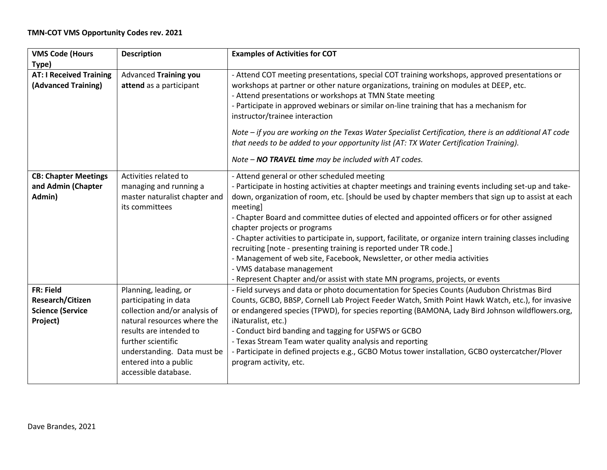## **TMN-COT VMS Opportunity Codes rev. 2021**

| <b>VMS Code (Hours</b>         | <b>Description</b>            | <b>Examples of Activities for COT</b>                                                                      |
|--------------------------------|-------------------------------|------------------------------------------------------------------------------------------------------------|
| Type)                          |                               |                                                                                                            |
| <b>AT: I Received Training</b> | <b>Advanced Training you</b>  | - Attend COT meeting presentations, special COT training workshops, approved presentations or              |
| (Advanced Training)            | attend as a participant       | workshops at partner or other nature organizations, training on modules at DEEP, etc.                      |
|                                |                               | - Attend presentations or workshops at TMN State meeting                                                   |
|                                |                               | - Participate in approved webinars or similar on-line training that has a mechanism for                    |
|                                |                               | instructor/trainee interaction                                                                             |
|                                |                               | Note - if you are working on the Texas Water Specialist Certification, there is an additional AT code      |
|                                |                               | that needs to be added to your opportunity list (AT: TX Water Certification Training).                     |
|                                |                               | Note - NO TRAVEL time may be included with AT codes.                                                       |
| <b>CB: Chapter Meetings</b>    | Activities related to         | - Attend general or other scheduled meeting                                                                |
| and Admin (Chapter             | managing and running a        | - Participate in hosting activities at chapter meetings and training events including set-up and take-     |
| Admin)                         | master naturalist chapter and | down, organization of room, etc. [should be used by chapter members that sign up to assist at each         |
|                                | its committees                | meeting]                                                                                                   |
|                                |                               | - Chapter Board and committee duties of elected and appointed officers or for other assigned               |
|                                |                               | chapter projects or programs                                                                               |
|                                |                               | - Chapter activities to participate in, support, facilitate, or organize intern training classes including |
|                                |                               | recruiting [note - presenting training is reported under TR code.]                                         |
|                                |                               | - Management of web site, Facebook, Newsletter, or other media activities                                  |
|                                |                               | - VMS database management                                                                                  |
|                                |                               | - Represent Chapter and/or assist with state MN programs, projects, or events                              |
| <b>FR: Field</b>               | Planning, leading, or         | - Field surveys and data or photo documentation for Species Counts (Audubon Christmas Bird                 |
| Research/Citizen               | participating in data         | Counts, GCBO, BBSP, Cornell Lab Project Feeder Watch, Smith Point Hawk Watch, etc.), for invasive          |
| <b>Science (Service</b>        | collection and/or analysis of | or endangered species (TPWD), for species reporting (BAMONA, Lady Bird Johnson wildflowers.org,            |
| Project)                       | natural resources where the   | iNaturalist, etc.)                                                                                         |
|                                | results are intended to       | - Conduct bird banding and tagging for USFWS or GCBO                                                       |
|                                | further scientific            | - Texas Stream Team water quality analysis and reporting                                                   |
|                                | understanding. Data must be   | - Participate in defined projects e.g., GCBO Motus tower installation, GCBO oystercatcher/Plover           |
|                                | entered into a public         | program activity, etc.                                                                                     |
|                                | accessible database.          |                                                                                                            |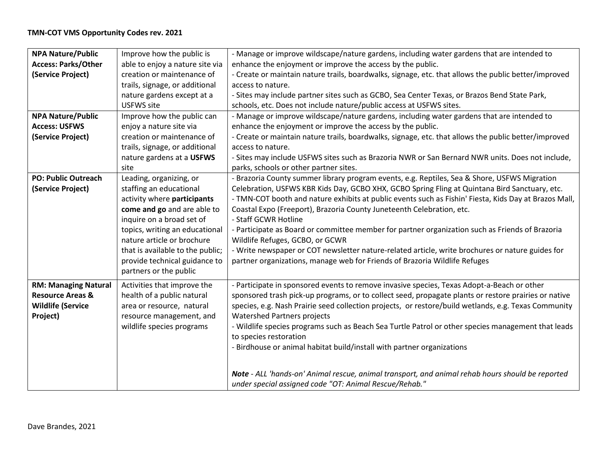| <b>NPA Nature/Public</b>    | Improve how the public is        | - Manage or improve wildscape/nature gardens, including water gardens that are intended to            |
|-----------------------------|----------------------------------|-------------------------------------------------------------------------------------------------------|
| <b>Access: Parks/Other</b>  | able to enjoy a nature site via  | enhance the enjoyment or improve the access by the public.                                            |
| (Service Project)           | creation or maintenance of       | - Create or maintain nature trails, boardwalks, signage, etc. that allows the public better/improved  |
|                             | trails, signage, or additional   | access to nature.                                                                                     |
|                             | nature gardens except at a       | - Sites may include partner sites such as GCBO, Sea Center Texas, or Brazos Bend State Park,          |
|                             | <b>USFWS</b> site                | schools, etc. Does not include nature/public access at USFWS sites.                                   |
| <b>NPA Nature/Public</b>    | Improve how the public can       | - Manage or improve wildscape/nature gardens, including water gardens that are intended to            |
| <b>Access: USFWS</b>        | enjoy a nature site via          | enhance the enjoyment or improve the access by the public.                                            |
| (Service Project)           | creation or maintenance of       | - Create or maintain nature trails, boardwalks, signage, etc. that allows the public better/improved  |
|                             | trails, signage, or additional   | access to nature.                                                                                     |
|                             | nature gardens at a USFWS        | - Sites may include USFWS sites such as Brazoria NWR or San Bernard NWR units. Does not include,      |
|                             | site                             | parks, schools or other partner sites.                                                                |
| <b>PO: Public Outreach</b>  | Leading, organizing, or          | - Brazoria County summer library program events, e.g. Reptiles, Sea & Shore, USFWS Migration          |
| (Service Project)           | staffing an educational          | Celebration, USFWS KBR Kids Day, GCBO XHX, GCBO Spring Fling at Quintana Bird Sanctuary, etc.         |
|                             | activity where participants      | - TMN-COT booth and nature exhibits at public events such as Fishin' Fiesta, Kids Day at Brazos Mall, |
|                             | come and go and are able to      | Coastal Expo (Freeport), Brazoria County Juneteenth Celebration, etc.                                 |
|                             | inquire on a broad set of        | - Staff GCWR Hotline                                                                                  |
|                             | topics, writing an educational   | - Participate as Board or committee member for partner organization such as Friends of Brazoria       |
|                             | nature article or brochure       | Wildlife Refuges, GCBO, or GCWR                                                                       |
|                             | that is available to the public; | - Write newspaper or COT newsletter nature-related article, write brochures or nature guides for      |
|                             | provide technical guidance to    | partner organizations, manage web for Friends of Brazoria Wildlife Refuges                            |
|                             | partners or the public           |                                                                                                       |
| <b>RM: Managing Natural</b> | Activities that improve the      | - Participate in sponsored events to remove invasive species, Texas Adopt-a-Beach or other            |
| <b>Resource Areas &amp;</b> | health of a public natural       | sponsored trash pick-up programs, or to collect seed, propagate plants or restore prairies or native  |
| <b>Wildlife (Service</b>    | area or resource, natural        | species, e.g. Nash Prairie seed collection projects, or restore/build wetlands, e.g. Texas Community  |
| Project)                    | resource management, and         | <b>Watershed Partners projects</b>                                                                    |
|                             | wildlife species programs        | - Wildlife species programs such as Beach Sea Turtle Patrol or other species management that leads    |
|                             |                                  | to species restoration                                                                                |
|                             |                                  | - Birdhouse or animal habitat build/install with partner organizations                                |
|                             |                                  |                                                                                                       |
|                             |                                  | Note - ALL 'hands-on' Animal rescue, animal transport, and animal rehab hours should be reported      |
|                             |                                  | under special assigned code "OT: Animal Rescue/Rehab."                                                |
|                             |                                  |                                                                                                       |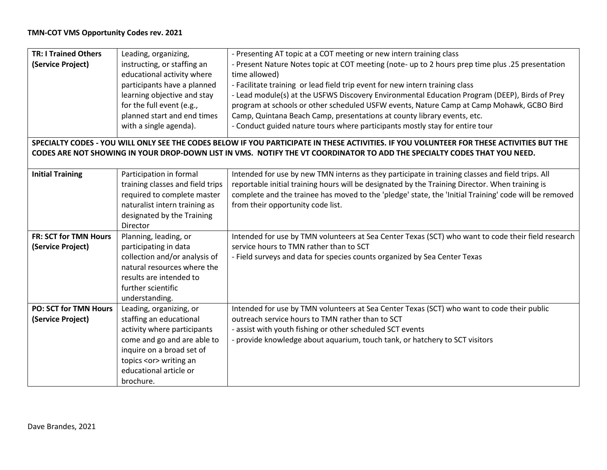| <b>TR: I Trained Others</b>  | Leading, organizing,             | - Presenting AT topic at a COT meeting or new intern training class                                                                       |
|------------------------------|----------------------------------|-------------------------------------------------------------------------------------------------------------------------------------------|
| (Service Project)            | instructing, or staffing an      | - Present Nature Notes topic at COT meeting (note- up to 2 hours prep time plus .25 presentation                                          |
|                              | educational activity where       | time allowed)                                                                                                                             |
|                              | participants have a planned      | - Facilitate training or lead field trip event for new intern training class                                                              |
|                              | learning objective and stay      | - Lead module(s) at the USFWS Discovery Environmental Education Program (DEEP), Birds of Prey                                             |
|                              | for the full event (e.g.,        | program at schools or other scheduled USFW events, Nature Camp at Camp Mohawk, GCBO Bird                                                  |
|                              | planned start and end times      | Camp, Quintana Beach Camp, presentations at county library events, etc.                                                                   |
|                              | with a single agenda).           | - Conduct guided nature tours where participants mostly stay for entire tour                                                              |
|                              |                                  |                                                                                                                                           |
|                              |                                  | SPECIALTY CODES - YOU WILL ONLY SEE THE CODES BELOW IF YOU PARTICIPATE IN THESE ACTIVITIES. IF YOU VOLUNTEER FOR THESE ACTIVITIES BUT THE |
|                              |                                  | CODES ARE NOT SHOWING IN YOUR DROP-DOWN LIST IN VMS. NOTIFY THE VT COORDINATOR TO ADD THE SPECIALTY CODES THAT YOU NEED.                  |
|                              |                                  |                                                                                                                                           |
| <b>Initial Training</b>      | Participation in formal          | Intended for use by new TMN interns as they participate in training classes and field trips. All                                          |
|                              | training classes and field trips | reportable initial training hours will be designated by the Training Director. When training is                                           |
|                              | required to complete master      | complete and the trainee has moved to the 'pledge' state, the 'Initial Training' code will be removed                                     |
|                              | naturalist intern training as    | from their opportunity code list.                                                                                                         |
|                              | designated by the Training       |                                                                                                                                           |
|                              | Director                         |                                                                                                                                           |
| <b>FR: SCT for TMN Hours</b> | Planning, leading, or            | Intended for use by TMN volunteers at Sea Center Texas (SCT) who want to code their field research                                        |
| (Service Project)            | participating in data            | service hours to TMN rather than to SCT                                                                                                   |
|                              | collection and/or analysis of    | - Field surveys and data for species counts organized by Sea Center Texas                                                                 |
|                              | natural resources where the      |                                                                                                                                           |
|                              | results are intended to          |                                                                                                                                           |
|                              | further scientific               |                                                                                                                                           |
|                              | understanding.                   |                                                                                                                                           |
| <b>PO: SCT for TMN Hours</b> | Leading, organizing, or          | Intended for use by TMN volunteers at Sea Center Texas (SCT) who want to code their public                                                |
| (Service Project)            | staffing an educational          | outreach service hours to TMN rather than to SCT                                                                                          |
|                              | activity where participants      | - assist with youth fishing or other scheduled SCT events                                                                                 |
|                              | come and go and are able to      | - provide knowledge about aquarium, touch tank, or hatchery to SCT visitors                                                               |
|                              | inquire on a broad set of        |                                                                                                                                           |
|                              | topics <or> writing an</or>      |                                                                                                                                           |
|                              | educational article or           |                                                                                                                                           |
|                              | brochure.                        |                                                                                                                                           |